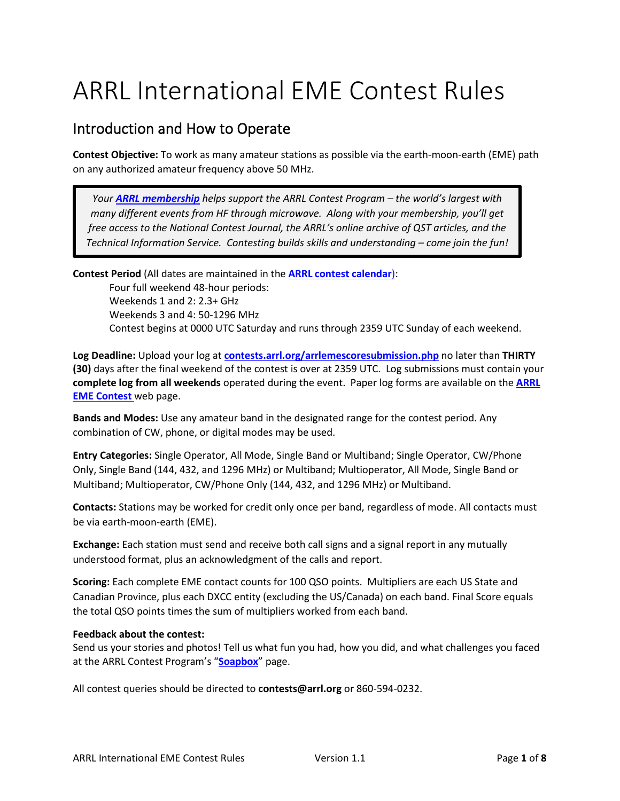# ARRL International EME Contest Rules

## Introduction and How to Operate

**Contest Objective:** To work as many amateur stations as possible via the earth-moon-earth (EME) path on any authorized amateur frequency above 50 MHz.

*Your [ARRL membership](http://www.arrl.org/membership) helps support the ARRL Contest Program – the world's largest with many different events from HF through microwave. Along with your membership, you'll get free access to the National Contest Journal, the ARRL's online archive of QST articles, and the Technical Information Service. Contesting builds skills and understanding – come join the fun!*

**Contest Period** (All dates are maintained in the **[ARRL contest calendar](http://contests.arrl.org/calendar.php)**): Four full weekend 48-hour periods: Weekends 1 and 2: 2.3+ GHz Weekends 3 and 4: 50-1296 MHz Contest begins at 0000 UTC Saturday and runs through 2359 UTC Sunday of each weekend.

**Log Deadline:** Upload your log at **[contests.arrl.org/arrlemescoresubmission.php](https://contests.arrl.org/arrlemescoresubmission.php)** no later than **THIRTY (30)** days after the final weekend of the contest is over at 2359 UTC. Log submissions must contain your **complete log from all weekends** operated during the event. Paper log forms are available on the **[ARRL](http://www.arrl.org/eme-contest)  [EME Contest](http://www.arrl.org/eme-contest)** web page.

**Bands and Modes:** Use any amateur band in the designated range for the contest period. Any combination of CW, phone, or digital modes may be used.

**Entry Categories:** Single Operator, All Mode, Single Band or Multiband; Single Operator, CW/Phone Only, Single Band (144, 432, and 1296 MHz) or Multiband; Multioperator, All Mode, Single Band or Multiband; Multioperator, CW/Phone Only (144, 432, and 1296 MHz) or Multiband.

**Contacts:** Stations may be worked for credit only once per band, regardless of mode. All contacts must be via earth-moon-earth (EME).

**Exchange:** Each station must send and receive both call signs and a signal report in any mutually understood format, plus an acknowledgment of the calls and report.

**Scoring:** Each complete EME contact counts for 100 QSO points. Multipliers are each US State and Canadian Province, plus each DXCC entity (excluding the US/Canada) on each band. Final Score equals the total QSO points times the sum of multipliers worked from each band.

#### **Feedback about the contest:**

Send us your stories and photos! Tell us what fun you had, how you did, and what challenges you faced at the ARRL Contest Program's "**[Soapbox](https://contests.arrl.org/contestsoapbox.php)**" page.

All contest queries should be directed to **contests@arrl.org** or 860-594-0232.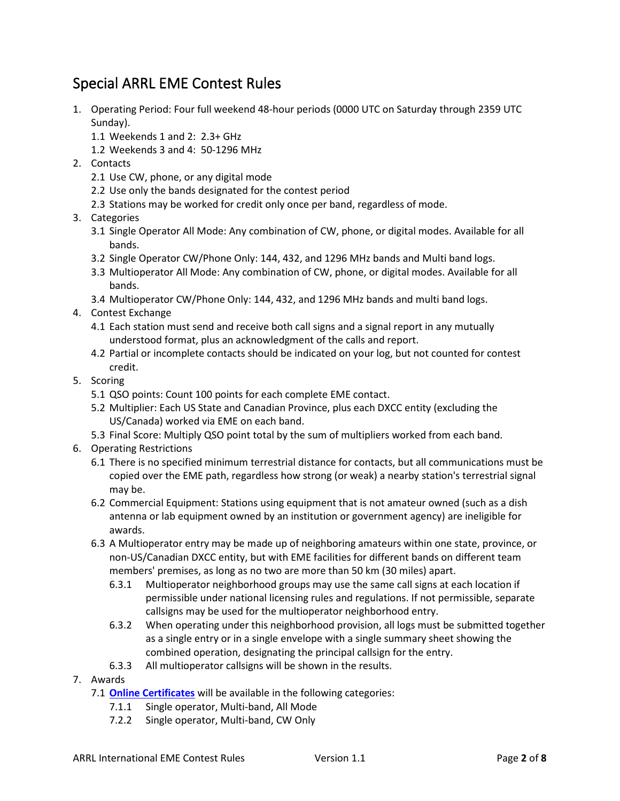## Special ARRL EME Contest Rules

- 1. Operating Period: Four full weekend 48-hour periods (0000 UTC on Saturday through 2359 UTC Sunday).
	- 1.1 Weekends 1 and 2: 2.3+ GHz
	- 1.2 Weekends 3 and 4: 50-1296 MHz
- 2. Contacts
	- 2.1 Use CW, phone, or any digital mode
	- 2.2 Use only the bands designated for the contest period
	- 2.3 Stations may be worked for credit only once per band, regardless of mode.
- 3. Categories
	- 3.1 Single Operator All Mode: Any combination of CW, phone, or digital modes. Available for all bands.
	- 3.2 Single Operator CW/Phone Only: 144, 432, and 1296 MHz bands and Multi band logs.
	- 3.3 Multioperator All Mode: Any combination of CW, phone, or digital modes. Available for all bands.
	- 3.4 Multioperator CW/Phone Only: 144, 432, and 1296 MHz bands and multi band logs.
- 4. Contest Exchange
	- 4.1 Each station must send and receive both call signs and a signal report in any mutually understood format, plus an acknowledgment of the calls and report.
	- 4.2 Partial or incomplete contacts should be indicated on your log, but not counted for contest credit.
- 5. Scoring
	- 5.1 QSO points: Count 100 points for each complete EME contact.
	- 5.2 Multiplier: Each US State and Canadian Province, plus each DXCC entity (excluding the US/Canada) worked via EME on each band.
	- 5.3 Final Score: Multiply QSO point total by the sum of multipliers worked from each band.
- 6. Operating Restrictions
	- 6.1 There is no specified minimum terrestrial distance for contacts, but all communications must be copied over the EME path, regardless how strong (or weak) a nearby station's terrestrial signal may be.
	- 6.2 Commercial Equipment: Stations using equipment that is not amateur owned (such as a dish antenna or lab equipment owned by an institution or government agency) are ineligible for awards.
	- 6.3 A Multioperator entry may be made up of neighboring amateurs within one state, province, or non-US/Canadian DXCC entity, but with EME facilities for different bands on different team members' premises, as long as no two are more than 50 km (30 miles) apart.
		- 6.3.1 Multioperator neighborhood groups may use the same call signs at each location if permissible under national licensing rules and regulations. If not permissible, separate callsigns may be used for the multioperator neighborhood entry.
		- 6.3.2 When operating under this neighborhood provision, all logs must be submitted together as a single entry or in a single envelope with a single summary sheet showing the combined operation, designating the principal callsign for the entry.
		- 6.3.3 All multioperator callsigns will be shown in the results.
- 7. Awards
	- 7.1 **[Online Certificates](https://contests.arrl.org/certificates.php)** will be available in the following categories:
		- 7.1.1 Single operator, Multi-band, All Mode
		- 7.2.2 Single operator, Multi-band, CW Only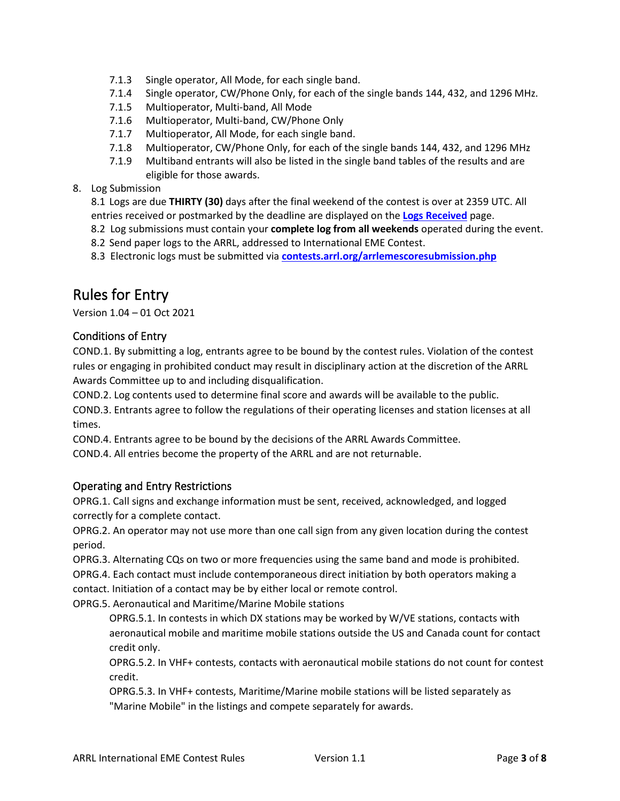- 7.1.3 Single operator, All Mode, for each single band.
- 7.1.4 Single operator, CW/Phone Only, for each of the single bands 144, 432, and 1296 MHz.
- 7.1.5 Multioperator, Multi-band, All Mode
- 7.1.6 Multioperator, Multi-band, CW/Phone Only
- 7.1.7 Multioperator, All Mode, for each single band.
- 7.1.8 Multioperator, CW/Phone Only, for each of the single bands 144, 432, and 1296 MHz
- 7.1.9 Multiband entrants will also be listed in the single band tables of the results and are eligible for those awards.

8. Log Submission

8.1 Logs are due **THIRTY (30)** days after the final weekend of the contest is over at 2359 UTC. All entries received or postmarked by the deadline are displayed on the **[Logs Received](https://contests.arrl.org/logsreceived.php)** page.

- 8.2 Log submissions must contain your **complete log from all weekends** operated during the event.
- 8.2 Send paper logs to the ARRL, addressed to International EME Contest.
- 8.3 Electronic logs must be submitted via **[contests.arrl.org/arrlemescoresubmission.php](https://contests.arrl.org/arrlemescoresubmission.php)**

### Rules for Entry

Version 1.04 – 01 Oct 2021

#### Conditions of Entry

COND.1. By submitting a log, entrants agree to be bound by the contest rules. Violation of the contest rules or engaging in prohibited conduct may result in disciplinary action at the discretion of the ARRL Awards Committee up to and including disqualification.

COND.2. Log contents used to determine final score and awards will be available to the public. COND.3. Entrants agree to follow the regulations of their operating licenses and station licenses at all times.

COND.4. Entrants agree to be bound by the decisions of the ARRL Awards Committee.

COND.4. All entries become the property of the ARRL and are not returnable.

#### Operating and Entry Restrictions

OPRG.1. Call signs and exchange information must be sent, received, acknowledged, and logged correctly for a complete contact.

OPRG.2. An operator may not use more than one call sign from any given location during the contest period.

OPRG.3. Alternating CQs on two or more frequencies using the same band and mode is prohibited.

OPRG.4. Each contact must include contemporaneous direct initiation by both operators making a contact. Initiation of a contact may be by either local or remote control.

OPRG.5. Aeronautical and Maritime/Marine Mobile stations

OPRG.5.1. In contests in which DX stations may be worked by W/VE stations, contacts with aeronautical mobile and maritime mobile stations outside the US and Canada count for contact credit only.

OPRG.5.2. In VHF+ contests, contacts with aeronautical mobile stations do not count for contest credit.

OPRG.5.3. In VHF+ contests, Maritime/Marine mobile stations will be listed separately as "Marine Mobile" in the listings and compete separately for awards.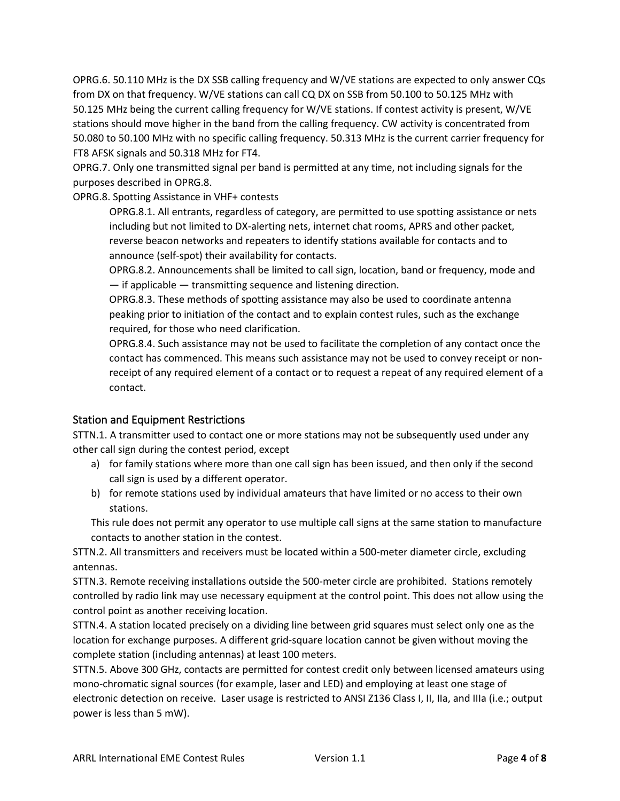OPRG.6. 50.110 MHz is the DX SSB calling frequency and W/VE stations are expected to only answer CQs from DX on that frequency. W/VE stations can call CQ DX on SSB from 50.100 to 50.125 MHz with 50.125 MHz being the current calling frequency for W/VE stations. If contest activity is present, W/VE stations should move higher in the band from the calling frequency. CW activity is concentrated from 50.080 to 50.100 MHz with no specific calling frequency. 50.313 MHz is the current carrier frequency for FT8 AFSK signals and 50.318 MHz for FT4.

OPRG.7. Only one transmitted signal per band is permitted at any time, not including signals for the purposes described in OPRG.8.

OPRG.8. Spotting Assistance in VHF+ contests

OPRG.8.1. All entrants, regardless of category, are permitted to use spotting assistance or nets including but not limited to DX-alerting nets, internet chat rooms, APRS and other packet, reverse beacon networks and repeaters to identify stations available for contacts and to announce (self-spot) their availability for contacts.

OPRG.8.2. Announcements shall be limited to call sign, location, band or frequency, mode and — if applicable — transmitting sequence and listening direction.

OPRG.8.3. These methods of spotting assistance may also be used to coordinate antenna peaking prior to initiation of the contact and to explain contest rules, such as the exchange required, for those who need clarification.

OPRG.8.4. Such assistance may not be used to facilitate the completion of any contact once the contact has commenced. This means such assistance may not be used to convey receipt or nonreceipt of any required element of a contact or to request a repeat of any required element of a contact.

#### Station and Equipment Restrictions

STTN.1. A transmitter used to contact one or more stations may not be subsequently used under any other call sign during the contest period, except

- a) for family stations where more than one call sign has been issued, and then only if the second call sign is used by a different operator.
- b) for remote stations used by individual amateurs that have limited or no access to their own stations.

This rule does not permit any operator to use multiple call signs at the same station to manufacture contacts to another station in the contest.

STTN.2. All transmitters and receivers must be located within a 500-meter diameter circle, excluding antennas.

STTN.3. Remote receiving installations outside the 500-meter circle are prohibited. Stations remotely controlled by radio link may use necessary equipment at the control point. This does not allow using the control point as another receiving location.

STTN.4. A station located precisely on a dividing line between grid squares must select only one as the location for exchange purposes. A different grid-square location cannot be given without moving the complete station (including antennas) at least 100 meters.

STTN.5. Above 300 GHz, contacts are permitted for contest credit only between licensed amateurs using mono-chromatic signal sources (for example, laser and LED) and employing at least one stage of electronic detection on receive. Laser usage is restricted to ANSI Z136 Class I, II, IIa, and IIIa (i.e.; output power is less than 5 mW).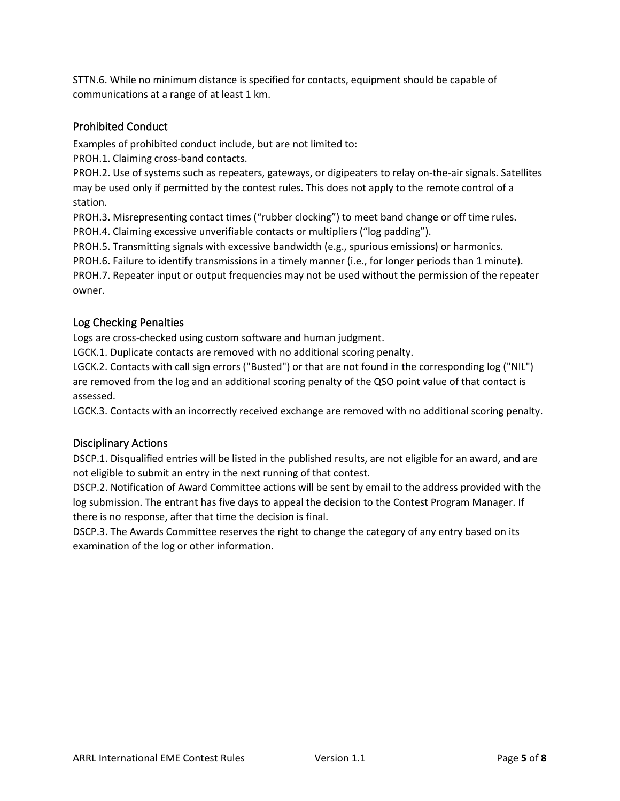STTN.6. While no minimum distance is specified for contacts, equipment should be capable of communications at a range of at least 1 km.

#### Prohibited Conduct

Examples of prohibited conduct include, but are not limited to:

PROH.1. Claiming cross-band contacts.

PROH.2. Use of systems such as repeaters, gateways, or digipeaters to relay on-the-air signals. Satellites may be used only if permitted by the contest rules. This does not apply to the remote control of a station.

PROH.3. Misrepresenting contact times ("rubber clocking") to meet band change or off time rules. PROH.4. Claiming excessive unverifiable contacts or multipliers ("log padding").

PROH.5. Transmitting signals with excessive bandwidth (e.g., spurious emissions) or harmonics.

PROH.6. Failure to identify transmissions in a timely manner (i.e., for longer periods than 1 minute).

PROH.7. Repeater input or output frequencies may not be used without the permission of the repeater owner.

#### Log Checking Penalties

Logs are cross-checked using custom software and human judgment.

LGCK.1. Duplicate contacts are removed with no additional scoring penalty.

LGCK.2. Contacts with call sign errors ("Busted") or that are not found in the corresponding log ("NIL") are removed from the log and an additional scoring penalty of the QSO point value of that contact is assessed.

LGCK.3. Contacts with an incorrectly received exchange are removed with no additional scoring penalty.

#### Disciplinary Actions

DSCP.1. Disqualified entries will be listed in the published results, are not eligible for an award, and are not eligible to submit an entry in the next running of that contest.

DSCP.2. Notification of Award Committee actions will be sent by email to the address provided with the log submission. The entrant has five days to appeal the decision to the Contest Program Manager. If there is no response, after that time the decision is final.

DSCP.3. The Awards Committee reserves the right to change the category of any entry based on its examination of the log or other information.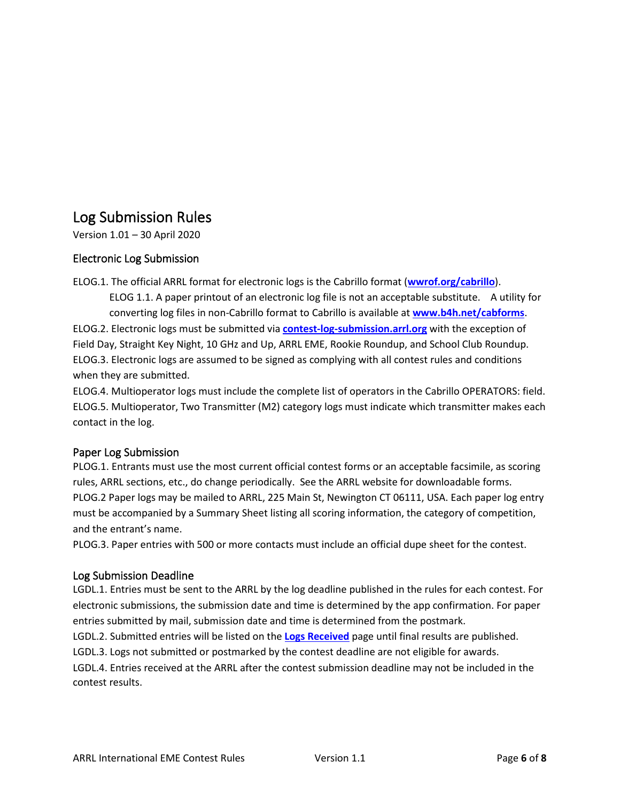## Log Submission Rules

Version 1.01 – 30 April 2020

#### Electronic Log Submission

ELOG.1. The official ARRL format for electronic logs is the Cabrillo format (**[wwrof.org/cabrillo](http://wwrof.org/cabrillo)**).

ELOG 1.1. A paper printout of an electronic log file is not an acceptable substitute. A utility for converting log files in non-Cabrillo format to Cabrillo is available at **[www.b4h.net/cabforms](http://www.b4h.net/cabforms)**. ELOG.2. Electronic logs must be submitted via **[contest-log-submission.arrl.org](http://contest-log-submission.arrl.org/)** with the exception of Field Day, Straight Key Night, 10 GHz and Up, ARRL EME, Rookie Roundup, and School Club Roundup. ELOG.3. Electronic logs are assumed to be signed as complying with all contest rules and conditions when they are submitted.

ELOG.4. Multioperator logs must include the complete list of operators in the Cabrillo OPERATORS: field. ELOG.5. Multioperator, Two Transmitter (M2) category logs must indicate which transmitter makes each contact in the log.

#### Paper Log Submission

PLOG.1. Entrants must use the most current official contest forms or an acceptable facsimile, as scoring rules, ARRL sections, etc., do change periodically. See the ARRL website for downloadable forms. PLOG.2 Paper logs may be mailed to ARRL, 225 Main St, Newington CT 06111, USA. Each paper log entry must be accompanied by a Summary Sheet listing all scoring information, the category of competition, and the entrant's name.

PLOG.3. Paper entries with 500 or more contacts must include an official dupe sheet for the contest.

#### Log Submission Deadline

LGDL.1. Entries must be sent to the ARRL by the log deadline published in the rules for each contest. For electronic submissions, the submission date and time is determined by the app confirmation. For paper entries submitted by mail, submission date and time is determined from the postmark.

LGDL.2. Submitted entries will be listed on the **[Logs Received](http://contests.arrl.org/logsreceived.php)** page until final results are published.

LGDL.3. Logs not submitted or postmarked by the contest deadline are not eligible for awards.

LGDL.4. Entries received at the ARRL after the contest submission deadline may not be included in the contest results.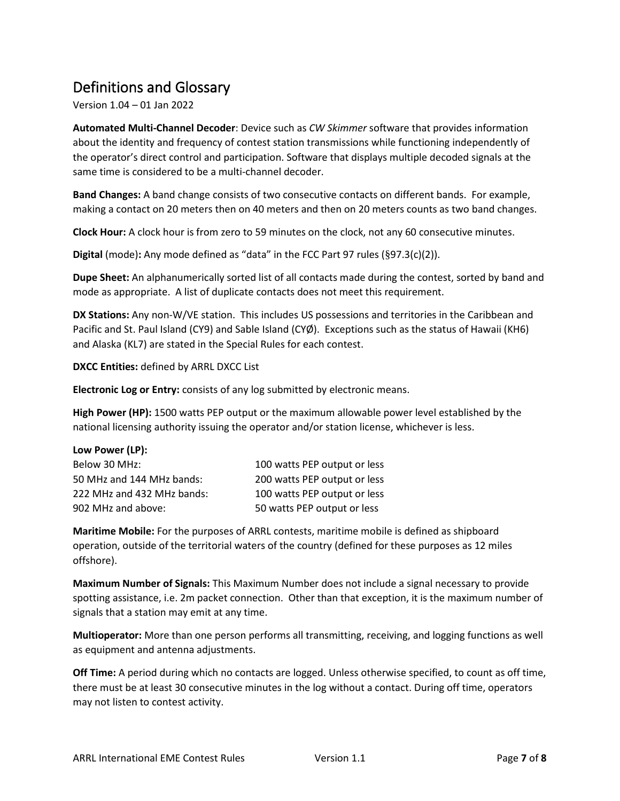# Definitions and Glossary

Version 1.04 – 01 Jan 2022

**Automated Multi-Channel Decoder**: Device such as *CW Skimmer* software that provides information about the identity and frequency of contest station transmissions while functioning independently of the operator's direct control and participation. Software that displays multiple decoded signals at the same time is considered to be a multi-channel decoder.

**Band Changes:** A band change consists of two consecutive contacts on different bands. For example, making a contact on 20 meters then on 40 meters and then on 20 meters counts as two band changes.

**Clock Hour:** A clock hour is from zero to 59 minutes on the clock, not any 60 consecutive minutes.

**Digital** (mode)**:** Any mode defined as "data" in the FCC Part 97 rules (§97.3(c)(2)).

**Dupe Sheet:** An alphanumerically sorted list of all contacts made during the contest, sorted by band and mode as appropriate. A list of duplicate contacts does not meet this requirement.

**DX Stations:** Any non-W/VE station. This includes US possessions and territories in the Caribbean and Pacific and St. Paul Island (CY9) and Sable Island (CYØ). Exceptions such as the status of Hawaii (KH6) and Alaska (KL7) are stated in the Special Rules for each contest.

**DXCC Entities:** defined by ARRL DXCC List

**Electronic Log or Entry:** consists of any log submitted by electronic means.

**High Power (HP):** 1500 watts PEP output or the maximum allowable power level established by the national licensing authority issuing the operator and/or station license, whichever is less.

| Low Power (LP):            |                              |
|----------------------------|------------------------------|
| Below 30 MHz:              | 100 watts PEP output or less |
| 50 MHz and 144 MHz bands:  | 200 watts PEP output or less |
| 222 MHz and 432 MHz bands: | 100 watts PEP output or less |
| 902 MHz and above:         | 50 watts PEP output or less  |

**Maritime Mobile:** For the purposes of ARRL contests, maritime mobile is defined as shipboard operation, outside of the territorial waters of the country (defined for these purposes as 12 miles offshore).

**Maximum Number of Signals:** This Maximum Number does not include a signal necessary to provide spotting assistance, i.e. 2m packet connection. Other than that exception, it is the maximum number of signals that a station may emit at any time.

**Multioperator:** More than one person performs all transmitting, receiving, and logging functions as well as equipment and antenna adjustments.

**Off Time:** A period during which no contacts are logged. Unless otherwise specified, to count as off time, there must be at least 30 consecutive minutes in the log without a contact. During off time, operators may not listen to contest activity.